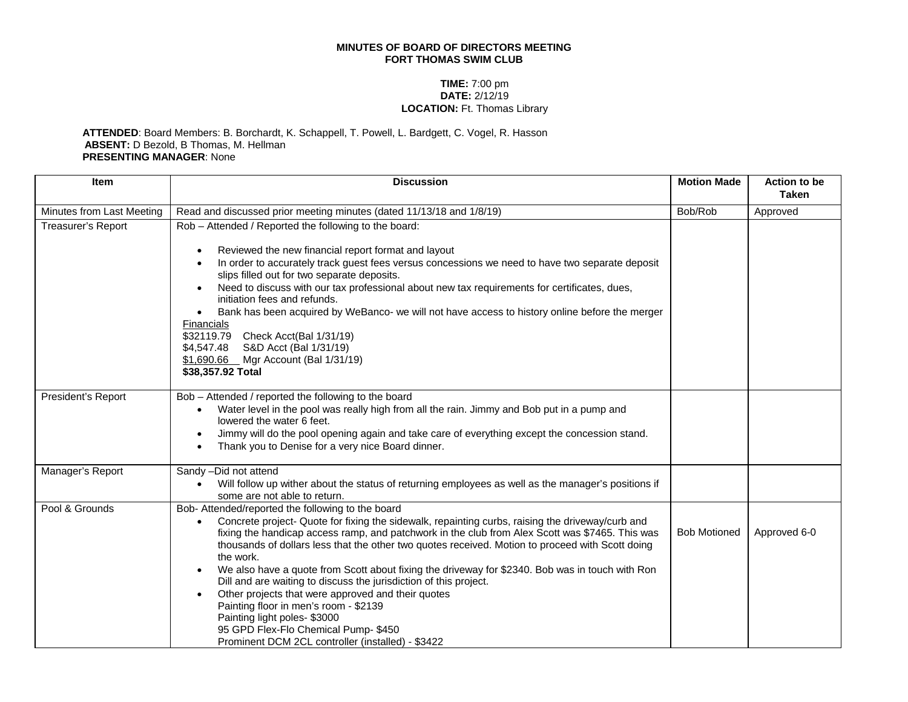## **MINUTES OF BOARD OF DIRECTORS MEETING FORT THOMAS SWIM CLUB**

## **TIME:** 7:00 pm **DATE:** 2/12/19 **LOCATION:** Ft. Thomas Library

## **ATTENDED**: Board Members: B. Borchardt, K. Schappell, T. Powell, L. Bardgett, C. Vogel, R. Hasson **ABSENT:** D Bezold, B Thomas, M. Hellman **PRESENTING MANAGER**: None

| <b>Item</b>               | <b>Discussion</b>                                                                                                                                                                                                                                                                                                                                                                                                                                                                                                                                                                                                                                                                                                                                                                                     | <b>Motion Made</b>  | Action to be<br><b>Taken</b> |
|---------------------------|-------------------------------------------------------------------------------------------------------------------------------------------------------------------------------------------------------------------------------------------------------------------------------------------------------------------------------------------------------------------------------------------------------------------------------------------------------------------------------------------------------------------------------------------------------------------------------------------------------------------------------------------------------------------------------------------------------------------------------------------------------------------------------------------------------|---------------------|------------------------------|
| Minutes from Last Meeting | Read and discussed prior meeting minutes (dated 11/13/18 and 1/8/19)                                                                                                                                                                                                                                                                                                                                                                                                                                                                                                                                                                                                                                                                                                                                  | Bob/Rob             | Approved                     |
| <b>Treasurer's Report</b> | Rob - Attended / Reported the following to the board:<br>Reviewed the new financial report format and layout<br>$\bullet$<br>In order to accurately track guest fees versus concessions we need to have two separate deposit<br>$\bullet$<br>slips filled out for two separate deposits.<br>Need to discuss with our tax professional about new tax requirements for certificates, dues,<br>initiation fees and refunds.<br>Bank has been acquired by WeBanco- we will not have access to history online before the merger<br>Financials<br>\$32119.79<br>Check Acct(Bal 1/31/19)<br>S&D Acct (Bal 1/31/19)<br>\$4,547.48<br>\$1,690.66 Mgr Account (Bal 1/31/19)<br>\$38,357.92 Total                                                                                                                |                     |                              |
| President's Report        | Bob - Attended / reported the following to the board<br>Water level in the pool was really high from all the rain. Jimmy and Bob put in a pump and<br>lowered the water 6 feet.<br>Jimmy will do the pool opening again and take care of everything except the concession stand.<br>$\bullet$<br>Thank you to Denise for a very nice Board dinner.                                                                                                                                                                                                                                                                                                                                                                                                                                                    |                     |                              |
| Manager's Report          | Sandy -Did not attend<br>Will follow up wither about the status of returning employees as well as the manager's positions if<br>some are not able to return.                                                                                                                                                                                                                                                                                                                                                                                                                                                                                                                                                                                                                                          |                     |                              |
| Pool & Grounds            | Bob- Attended/reported the following to the board<br>Concrete project- Quote for fixing the sidewalk, repainting curbs, raising the driveway/curb and<br>fixing the handicap access ramp, and patchwork in the club from Alex Scott was \$7465. This was<br>thousands of dollars less that the other two quotes received. Motion to proceed with Scott doing<br>the work.<br>We also have a quote from Scott about fixing the driveway for \$2340. Bob was in touch with Ron<br>$\bullet$<br>Dill and are waiting to discuss the jurisdiction of this project.<br>Other projects that were approved and their quotes<br>$\bullet$<br>Painting floor in men's room - \$2139<br>Painting light poles-\$3000<br>95 GPD Flex-Flo Chemical Pump-\$450<br>Prominent DCM 2CL controller (installed) - \$3422 | <b>Bob Motioned</b> | Approved 6-0                 |